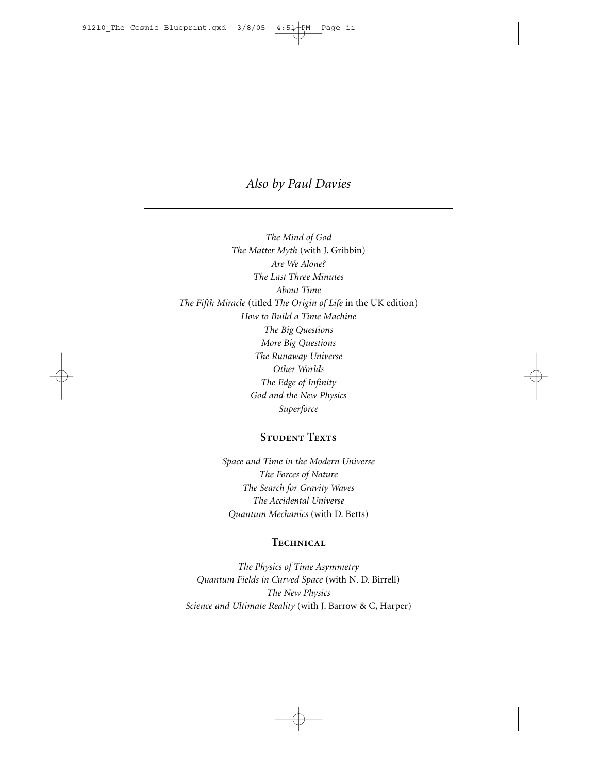### *Also by Paul Davies*

*The Mind of God The Matter Myth* (with J. Gribbin) *Are We Alone? The Last Three Minutes About Time The Fifth Miracle* (titled *The Origin of Life* in the UK edition) *How to Build a Time Machine The Big Questions More Big Questions The Runaway Universe Other Worlds The Edge of Infinity God and the New Physics Superforce*

### **STUDENT TEXTS**

*Space and Time in the Modern Universe The Forces of Nature The Search for Gravity Waves The Accidental Universe Quantum Mechanics* (with D. Betts)

### **Technical**

*The Physics of Time Asymmetry Quantum Fields in Curved Space* (with N. D. Birrell) *The New Physics Science and Ultimate Reality* (with J. Barrow & C, Harper)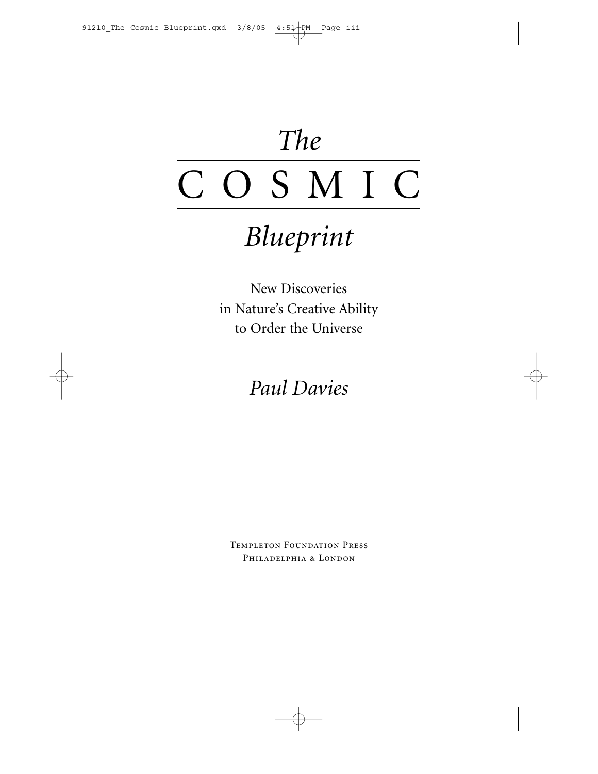# *The* COSMIC

## *Blueprint*

New Discoveries in Nature's Creative Ability to Order the Universe

### *Paul Davies*

Templeton Foundation Press Philadelphia & London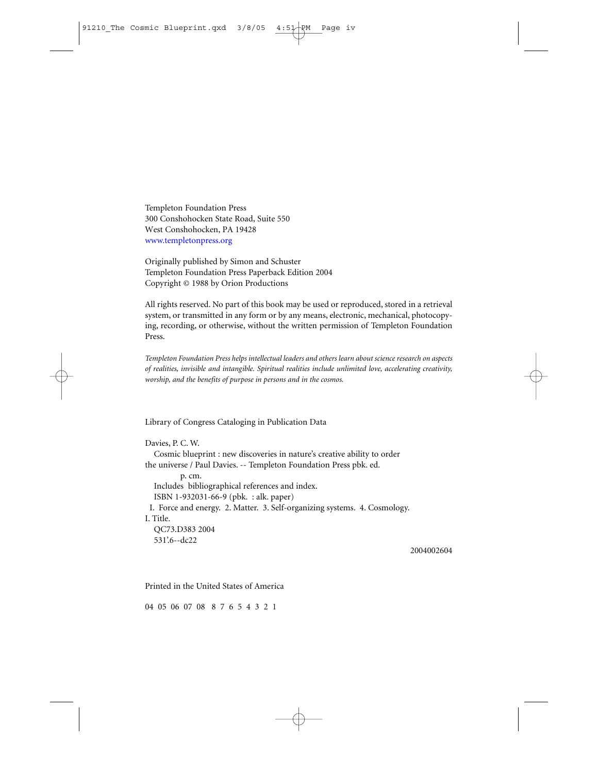Templeton Foundation Press [www.templetonpress.org](http://www.templetonpress.org) 300 Conshohocken State Road, Suite 550 West Conshohocken, PA 19428

Originally published by Simon and Schuster Templeton Foundation Press Paperback Edition 2004 Copyright © 1988 by Orion Productions

All rights reserved. No part of this book may be used or reproduced, stored in a retrieval system, or transmitted in any form or by any means, electronic, mechanical, photocopying, recording, or otherwise, without the written permission of Templeton Foundation Press.

*Templeton Foundation Press helps intellectual leaders and others learn about science research on aspects of realities, invisible and intangible. Spiritual realities include unlimited love, accelerating creativity, worship, and the benefits of purpose in persons and in the cosmos.*

Library of Congress Cataloging in Publication Data

Davies, P. C. W. Cosmic blueprint : new discoveries in nature's creative ability to order the universe / Paul Davies. -- Templeton Foundation Press pbk. ed. p. cm. Includes bibliographical references and index. ISBN 1-932031-66-9 (pbk. : alk. paper) I. Force and energy. 2. Matter. 3. Self-organizing systems. 4. Cosmology. I. Title. QC73.D383 2004 531'.6--dc22

2004002604

Printed in the United States of America

04 05 06 07 08 8 7 6 5 4 3 2 1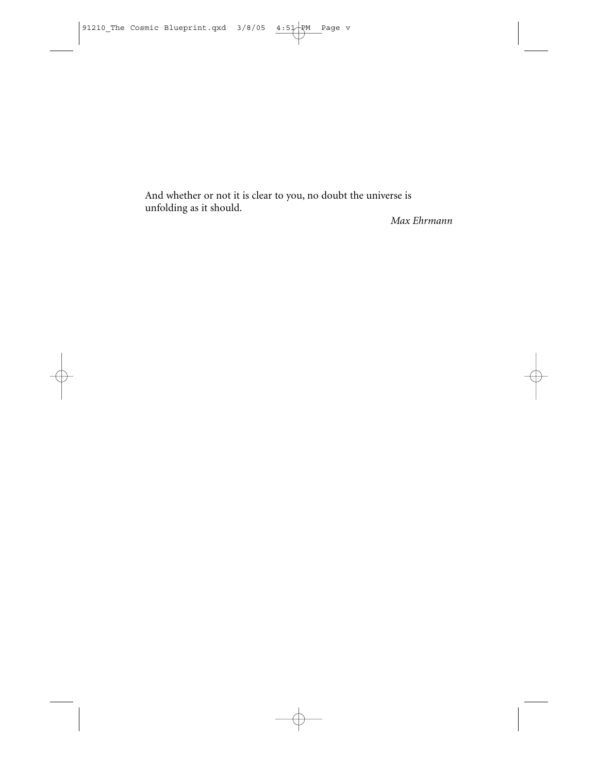And whether or not it is clear to you, no doubt the universe is unfolding as it should.

*Max Ehrmann*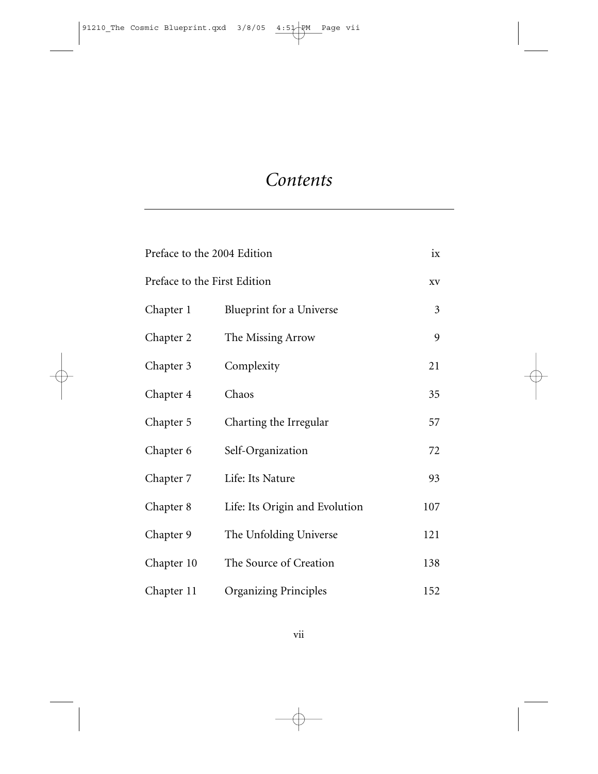### *Contents*

| Preface to the 2004 Edition  |                                | ix  |
|------------------------------|--------------------------------|-----|
| Preface to the First Edition |                                | XV  |
| Chapter 1                    | Blueprint for a Universe       | 3   |
| Chapter 2                    | The Missing Arrow              | 9   |
| Chapter 3                    | Complexity                     | 21  |
| Chapter 4                    | Chaos                          | 35  |
| Chapter 5                    | Charting the Irregular         | 57  |
| Chapter 6                    | Self-Organization              | 72  |
| Chapter 7                    | Life: Its Nature               | 93  |
| Chapter 8                    | Life: Its Origin and Evolution | 107 |
| Chapter 9                    | The Unfolding Universe         | 121 |
| Chapter 10                   | The Source of Creation         | 138 |
| Chapter 11                   | <b>Organizing Principles</b>   | 152 |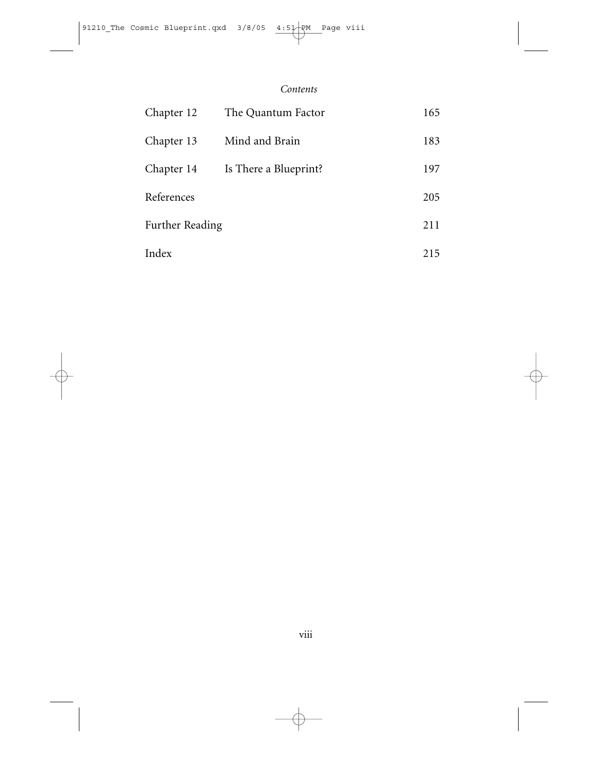### *Contents*

| Chapter 12             | The Quantum Factor    | 165 |
|------------------------|-----------------------|-----|
| Chapter 13             | Mind and Brain        | 183 |
| Chapter 14             | Is There a Blueprint? | 197 |
| References             |                       | 205 |
| <b>Further Reading</b> |                       | 211 |
| Index                  |                       | 215 |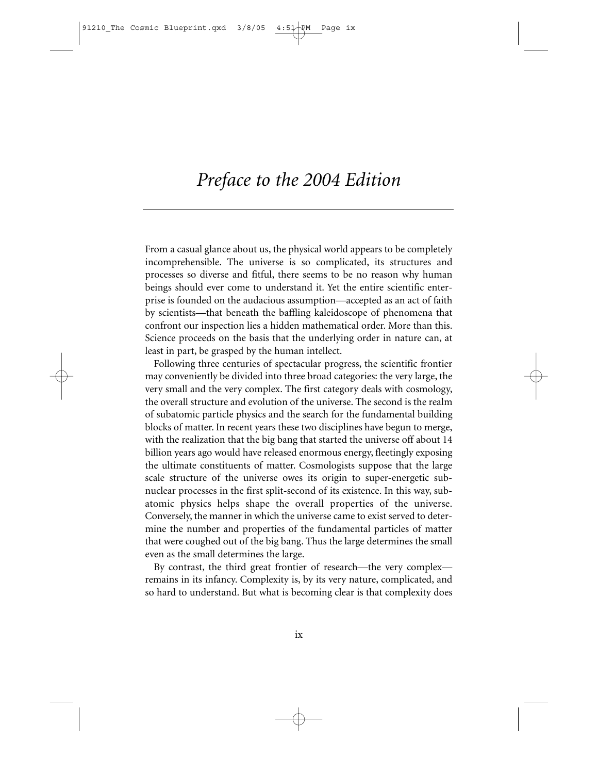<span id="page-8-0"></span>From a casual glance about us, the physical world appears to be completely incomprehensible. The universe is so complicated, its structures and processes so diverse and fitful, there seems to be no reason why human beings should ever come to understand it. Yet the entire scientific enterprise is founded on the audacious assumption—accepted as an act of faith by scientists—that beneath the baffling kaleidoscope of phenomena that confront our inspection lies a hidden mathematical order. More than this. Science proceeds on the basis that the underlying order in nature can, at least in part, be grasped by the human intellect.

Following three centuries of spectacular progress, the scientific frontier may conveniently be divided into three broad categories: the very large, the very small and the very complex. The first category deals with cosmology, the overall structure and evolution of the universe. The second is the realm of subatomic particle physics and the search for the fundamental building blocks of matter. In recent years these two disciplines have begun to merge, with the realization that the big bang that started the universe off about 14 billion years ago would have released enormous energy, fleetingly exposing the ultimate constituents of matter. Cosmologists suppose that the large scale structure of the universe owes its origin to super-energetic subnuclear processes in the first split-second of its existence. In this way, subatomic physics helps shape the overall properties of the universe. Conversely, the manner in which the universe came to exist served to determine the number and properties of the fundamental particles of matter that were coughed out of the big bang. Thus the large determines the small even as the small determines the large.

By contrast, the third great frontier of research—the very complex remains in its infancy. Complexity is, by its very nature, complicated, and so hard to understand. But what is becoming clear is that complexity does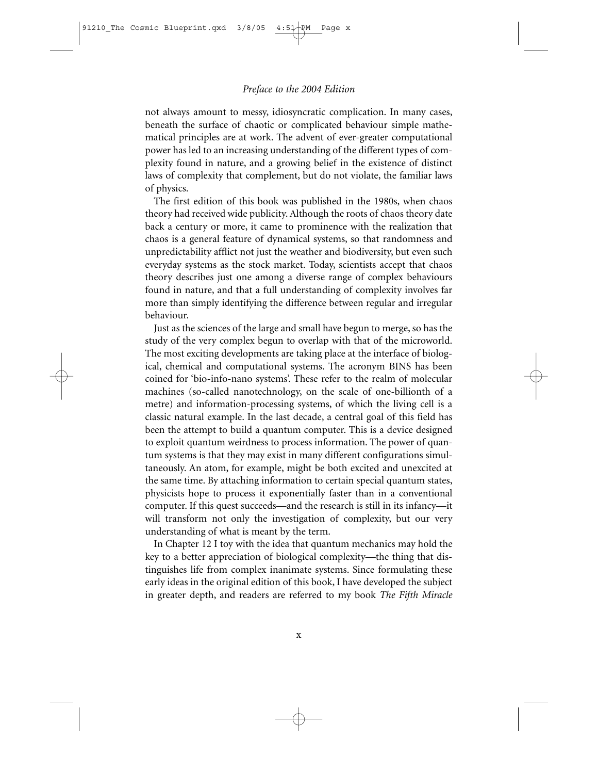not always amount to messy, idiosyncratic complication. In many cases, beneath the surface of chaotic or complicated behaviour simple mathematical principles are at work. The advent of ever-greater computational power has led to an increasing understanding of the different types of complexity found in nature, and a growing belief in the existence of distinct laws of complexity that complement, but do not violate, the familiar laws of physics.

The first edition of this book was published in the 1980s, when chaos theory had received wide publicity. Although the roots of chaos theory date back a century or more, it came to prominence with the realization that chaos is a general feature of dynamical systems, so that randomness and unpredictability afflict not just the weather and biodiversity, but even such everyday systems as the stock market. Today, scientists accept that chaos theory describes just one among a diverse range of complex behaviours found in nature, and that a full understanding of complexity involves far more than simply identifying the difference between regular and irregular behaviour.

Just as the sciences of the large and small have begun to merge, so has the study of the very complex begun to overlap with that of the microworld. The most exciting developments are taking place at the interface of biological, chemical and computational systems. The acronym BINS has been coined for 'bio-info-nano systems'. These refer to the realm of molecular machines (so-called nanotechnology, on the scale of one-billionth of a metre) and information-processing systems, of which the living cell is a classic natural example. In the last decade, a central goal of this field has been the attempt to build a quantum computer. This is a device designed to exploit quantum weirdness to process information. The power of quantum systems is that they may exist in many different configurations simultaneously. An atom, for example, might be both excited and unexcited at the same time. By attaching information to certain special quantum states, physicists hope to process it exponentially faster than in a conventional computer. If this quest succeeds—and the research is still in its infancy—it will transform not only the investigation of complexity, but our very understanding of what is meant by the term.

In Chapter 12 I toy with the idea that quantum mechanics may hold the key to a better appreciation of biological complexity—the thing that distinguishes life from complex inanimate systems. Since formulating these early ideas in the original edition of this book, I have developed the subject in greater depth, and readers are referred to my book *The Fifth Miracle*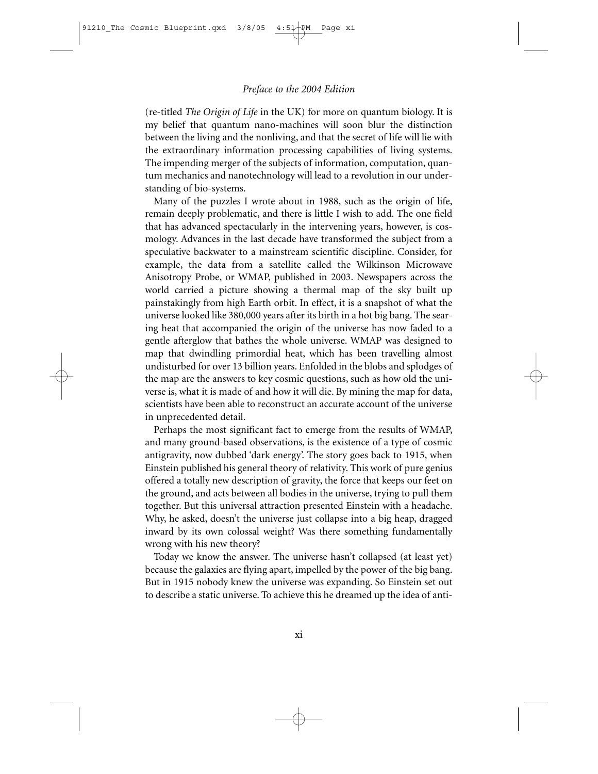(re-titled *The Origin of Life* in the UK) for more on quantum biology. It is my belief that quantum nano-machines will soon blur the distinction between the living and the nonliving, and that the secret of life will lie with the extraordinary information processing capabilities of living systems. The impending merger of the subjects of information, computation, quantum mechanics and nanotechnology will lead to a revolution in our understanding of bio-systems.

Many of the puzzles I wrote about in 1988, such as the origin of life, remain deeply problematic, and there is little I wish to add. The one field that has advanced spectacularly in the intervening years, however, is cosmology. Advances in the last decade have transformed the subject from a speculative backwater to a mainstream scientific discipline. Consider, for example, the data from a satellite called the Wilkinson Microwave Anisotropy Probe, or WMAP, published in 2003. Newspapers across the world carried a picture showing a thermal map of the sky built up painstakingly from high Earth orbit. In effect, it is a snapshot of what the universe looked like 380,000 years after its birth in a hot big bang. The searing heat that accompanied the origin of the universe has now faded to a gentle afterglow that bathes the whole universe. WMAP was designed to map that dwindling primordial heat, which has been travelling almost undisturbed for over 13 billion years. Enfolded in the blobs and splodges of the map are the answers to key cosmic questions, such as how old the universe is, what it is made of and how it will die. By mining the map for data, scientists have been able to reconstruct an accurate account of the universe in unprecedented detail.

Perhaps the most significant fact to emerge from the results of WMAP, and many ground-based observations, is the existence of a type of cosmic antigravity, now dubbed 'dark energy'. The story goes back to 1915, when Einstein published his general theory of relativity. This work of pure genius offered a totally new description of gravity, the force that keeps our feet on the ground, and acts between all bodies in the universe, trying to pull them together. But this universal attraction presented Einstein with a headache. Why, he asked, doesn't the universe just collapse into a big heap, dragged inward by its own colossal weight? Was there something fundamentally wrong with his new theory?

Today we know the answer. The universe hasn't collapsed (at least yet) because the galaxies are flying apart, impelled by the power of the big bang. But in 1915 nobody knew the universe was expanding. So Einstein set out to describe a static universe. To achieve this he dreamed up the idea of anti-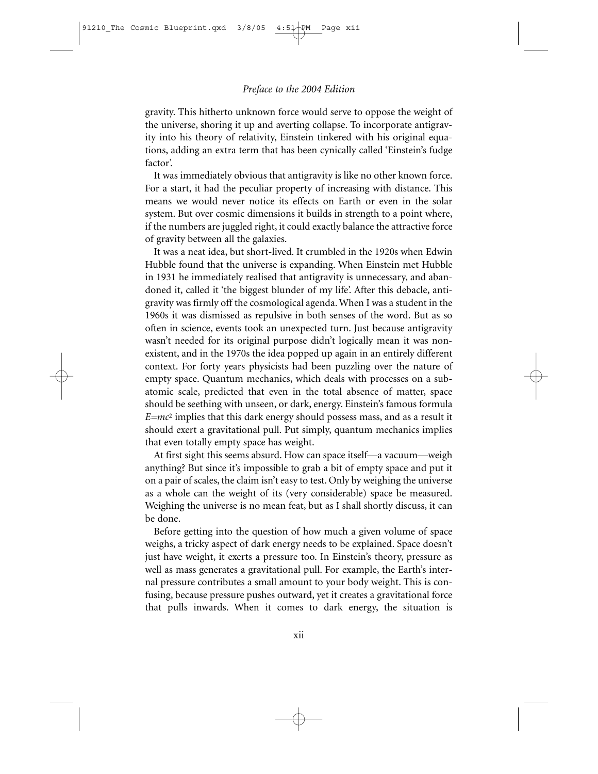gravity. This hitherto unknown force would serve to oppose the weight of the universe, shoring it up and averting collapse. To incorporate antigravity into his theory of relativity, Einstein tinkered with his original equations, adding an extra term that has been cynically called 'Einstein's fudge factor'.

It was immediately obvious that antigravity is like no other known force. For a start, it had the peculiar property of increasing with distance. This means we would never notice its effects on Earth or even in the solar system. But over cosmic dimensions it builds in strength to a point where, if the numbers are juggled right, it could exactly balance the attractive force of gravity between all the galaxies.

It was a neat idea, but short-lived. It crumbled in the 1920s when Edwin Hubble found that the universe is expanding. When Einstein met Hubble in 1931 he immediately realised that antigravity is unnecessary, and abandoned it, called it 'the biggest blunder of my life'. After this debacle, antigravity was firmly off the cosmological agenda. When I was a student in the 1960s it was dismissed as repulsive in both senses of the word. But as so often in science, events took an unexpected turn. Just because antigravity wasn't needed for its original purpose didn't logically mean it was nonexistent, and in the 1970s the idea popped up again in an entirely different context. For forty years physicists had been puzzling over the nature of empty space. Quantum mechanics, which deals with processes on a subatomic scale, predicted that even in the total absence of matter, space should be seething with unseen, or dark, energy. Einstein's famous formula *E=mc*<sup>2</sup> implies that this dark energy should possess mass, and as a result it should exert a gravitational pull. Put simply, quantum mechanics implies that even totally empty space has weight.

At first sight this seems absurd. How can space itself—a vacuum—weigh anything? But since it's impossible to grab a bit of empty space and put it on a pair of scales, the claim isn't easy to test. Only by weighing the universe as a whole can the weight of its (very considerable) space be measured. Weighing the universe is no mean feat, but as I shall shortly discuss, it can be done.

Before getting into the question of how much a given volume of space weighs, a tricky aspect of dark energy needs to be explained. Space doesn't just have weight, it exerts a pressure too. In Einstein's theory, pressure as well as mass generates a gravitational pull. For example, the Earth's internal pressure contributes a small amount to your body weight. This is confusing, because pressure pushes outward, yet it creates a gravitational force that pulls inwards. When it comes to dark energy, the situation is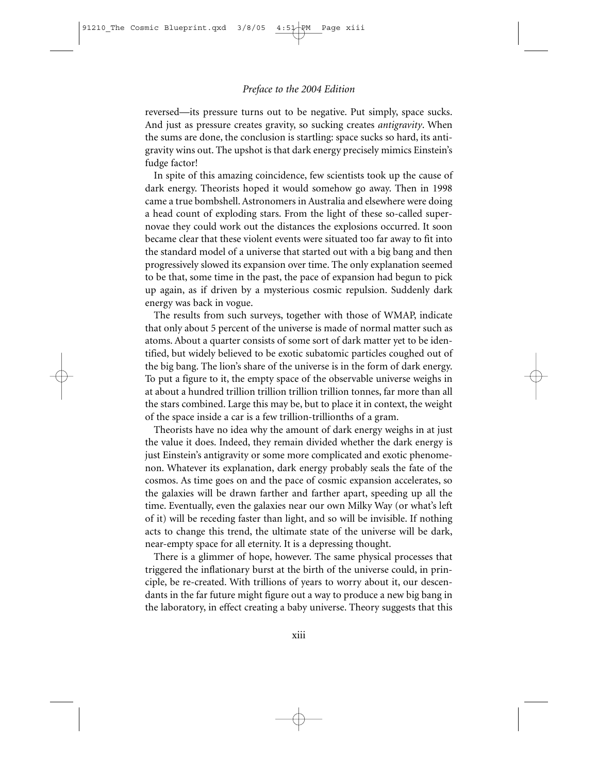reversed—its pressure turns out to be negative. Put simply, space sucks. And just as pressure creates gravity, so sucking creates *antigravity*. When the sums are done, the conclusion is startling: space sucks so hard, its antigravity wins out. The upshot is that dark energy precisely mimics Einstein's fudge factor!

In spite of this amazing coincidence, few scientists took up the cause of dark energy. Theorists hoped it would somehow go away. Then in 1998 came a true bombshell. Astronomers in Australia and elsewhere were doing a head count of exploding stars. From the light of these so-called supernovae they could work out the distances the explosions occurred. It soon became clear that these violent events were situated too far away to fit into the standard model of a universe that started out with a big bang and then progressively slowed its expansion over time. The only explanation seemed to be that, some time in the past, the pace of expansion had begun to pick up again, as if driven by a mysterious cosmic repulsion. Suddenly dark energy was back in vogue.

The results from such surveys, together with those of WMAP, indicate that only about 5 percent of the universe is made of normal matter such as atoms. About a quarter consists of some sort of dark matter yet to be identified, but widely believed to be exotic subatomic particles coughed out of the big bang. The lion's share of the universe is in the form of dark energy. To put a figure to it, the empty space of the observable universe weighs in at about a hundred trillion trillion trillion trillion tonnes, far more than all the stars combined. Large this may be, but to place it in context, the weight of the space inside a car is a few trillion-trillionths of a gram.

Theorists have no idea why the amount of dark energy weighs in at just the value it does. Indeed, they remain divided whether the dark energy is just Einstein's antigravity or some more complicated and exotic phenomenon. Whatever its explanation, dark energy probably seals the fate of the cosmos. As time goes on and the pace of cosmic expansion accelerates, so the galaxies will be drawn farther and farther apart, speeding up all the time. Eventually, even the galaxies near our own Milky Way (or what's left of it) will be receding faster than light, and so will be invisible. If nothing acts to change this trend, the ultimate state of the universe will be dark, near-empty space for all eternity. It is a depressing thought.

There is a glimmer of hope, however. The same physical processes that triggered the inflationary burst at the birth of the universe could, in principle, be re-created. With trillions of years to worry about it, our descendants in the far future might figure out a way to produce a new big bang in the laboratory, in effect creating a baby universe. Theory suggests that this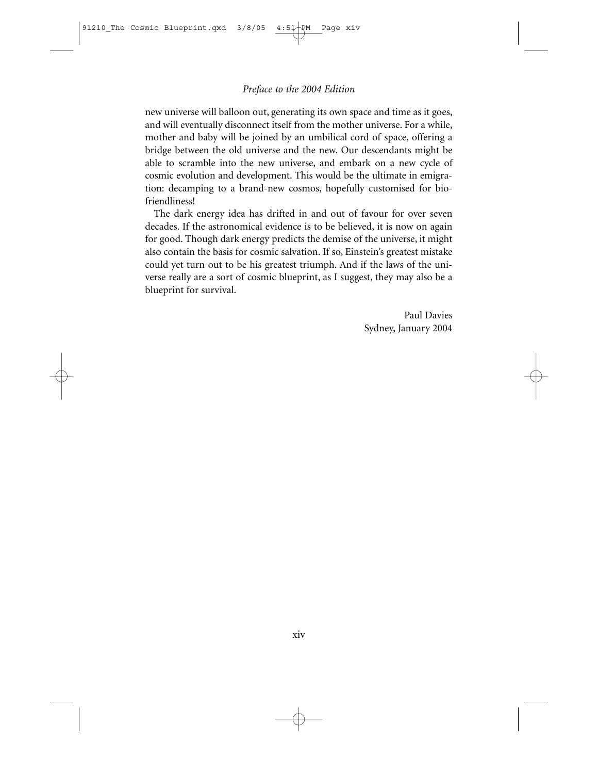new universe will balloon out, generating its own space and time as it goes, and will eventually disconnect itself from the mother universe. For a while, mother and baby will be joined by an umbilical cord of space, offering a bridge between the old universe and the new. Our descendants might be able to scramble into the new universe, and embark on a new cycle of cosmic evolution and development. This would be the ultimate in emigration: decamping to a brand-new cosmos, hopefully customised for biofriendliness!

The dark energy idea has drifted in and out of favour for over seven decades. If the astronomical evidence is to be believed, it is now on again for good. Though dark energy predicts the demise of the universe, it might also contain the basis for cosmic salvation. If so, Einstein's greatest mistake could yet turn out to be his greatest triumph. And if the laws of the universe really are a sort of cosmic blueprint, as I suggest, they may also be a blueprint for survival.

> Paul Davies Sydney, January 2004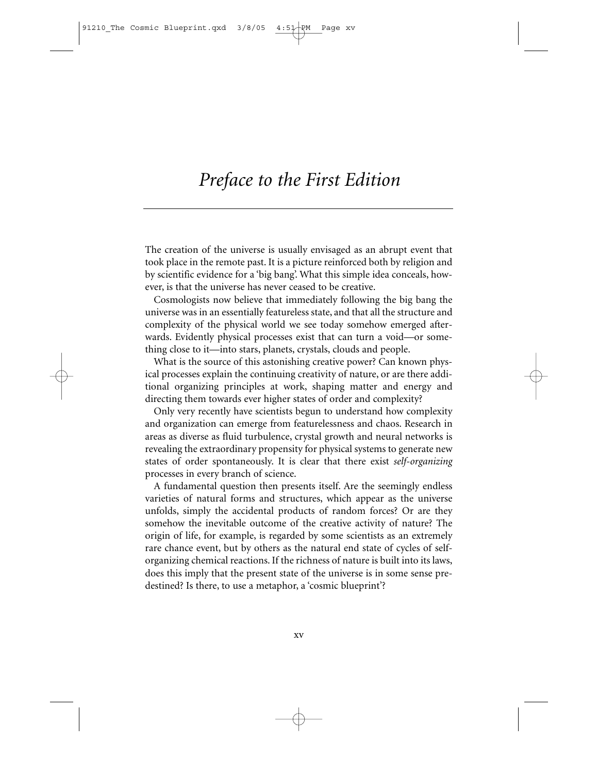### <span id="page-14-0"></span>*Preface to the First Edition*

The creation of the universe is usually envisaged as an abrupt event that took place in the remote past. It is a picture reinforced both by religion and by scientific evidence for a 'big bang'. What this simple idea conceals, however, is that the universe has never ceased to be creative.

Cosmologists now believe that immediately following the big bang the universe was in an essentially featureless state, and that all the structure and complexity of the physical world we see today somehow emerged afterwards. Evidently physical processes exist that can turn a void—or something close to it—into stars, planets, crystals, clouds and people.

What is the source of this astonishing creative power? Can known physical processes explain the continuing creativity of nature, or are there additional organizing principles at work, shaping matter and energy and directing them towards ever higher states of order and complexity?

Only very recently have scientists begun to understand how complexity and organization can emerge from featurelessness and chaos. Research in areas as diverse as fluid turbulence, crystal growth and neural networks is revealing the extraordinary propensity for physical systems to generate new states of order spontaneously. It is clear that there exist *self-organizing* processes in every branch of science.

A fundamental question then presents itself. Are the seemingly endless varieties of natural forms and structures, which appear as the universe unfolds, simply the accidental products of random forces? Or are they somehow the inevitable outcome of the creative activity of nature? The origin of life, for example, is regarded by some scientists as an extremely rare chance event, but by others as the natural end state of cycles of selforganizing chemical reactions. If the richness of nature is built into its laws, does this imply that the present state of the universe is in some sense predestined? Is there, to use a metaphor, a 'cosmic blueprint'?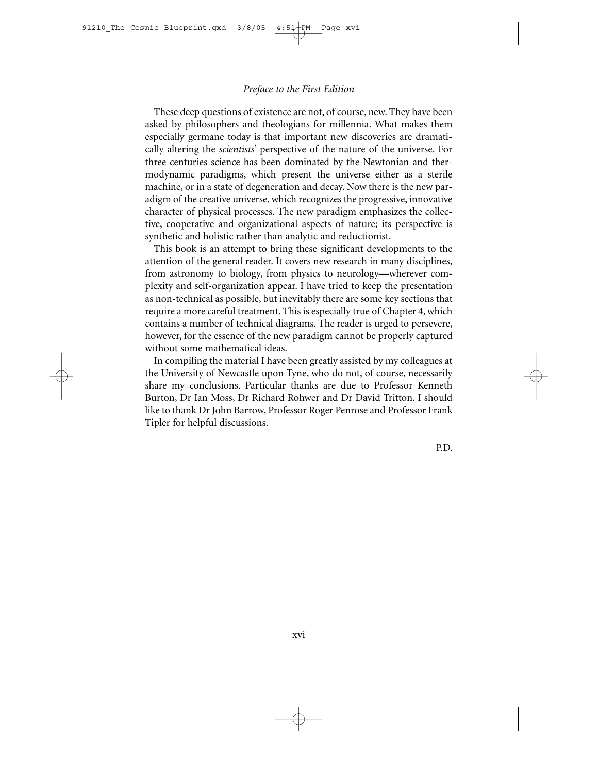### *Preface to the First Edition*

These deep questions of existence are not, of course, new. They have been asked by philosophers and theologians for millennia. What makes them especially germane today is that important new discoveries are dramatically altering the *scientists'* perspective of the nature of the universe. For three centuries science has been dominated by the Newtonian and thermodynamic paradigms, which present the universe either as a sterile machine, or in a state of degeneration and decay. Now there is the new paradigm of the creative universe, which recognizes the progressive, innovative character of physical processes. The new paradigm emphasizes the collective, cooperative and organizational aspects of nature; its perspective is synthetic and holistic rather than analytic and reductionist.

This book is an attempt to bring these significant developments to the attention of the general reader. It covers new research in many disciplines, from astronomy to biology, from physics to neurology—wherever complexity and self-organization appear. I have tried to keep the presentation as non-technical as possible, but inevitably there are some key sections that require a more careful treatment. This is especially true of Chapter 4, which contains a number of technical diagrams. The reader is urged to persevere, however, for the essence of the new paradigm cannot be properly captured without some mathematical ideas.

In compiling the material I have been greatly assisted by my colleagues at the University of Newcastle upon Tyne, who do not, of course, necessarily share my conclusions. Particular thanks are due to Professor Kenneth Burton, Dr Ian Moss, Dr Richard Rohwer and Dr David Tritton. I should like to thank Dr John Barrow, Professor Roger Penrose and Professor Frank Tipler for helpful discussions.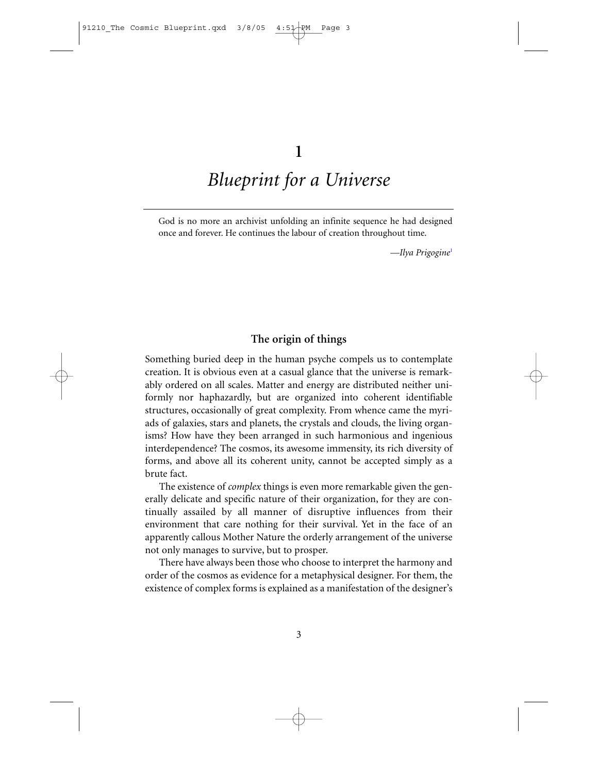### *Blueprint for a Universe*

<span id="page-18-0"></span>God is no more an archivist unfolding an infinite sequence he had designed once and forever. He continues the labour of creation throughout time.

*—Ilya Prigogine*<sup>1</sup>

### **The origin of things**

Something buried deep in the human psyche compels us to contemplate creation. It is obvious even at a casual glance that the universe is remarkably ordered on all scales. Matter and energy are distributed neither uniformly nor haphazardly, but are organized into coherent identifiable structures, occasionally of great complexity. From whence came the myriads of galaxies, stars and planets, the crystals and clouds, the living organisms? How have they been arranged in such harmonious and ingenious interdependence? The cosmos, its awesome immensity, its rich diversity of forms, and above all its coherent unity, cannot be accepted simply as a brute fact.

The existence of *complex* things is even more remarkable given the generally delicate and specific nature of their organization, for they are continually assailed by all manner of disruptive influences from their environment that care nothing for their survival. Yet in the face of an apparently callous Mother Nature the orderly arrangement of the universe not only manages to survive, but to prosper.

There have always been those who choose to interpret the harmony and order of the cosmos as evidence for a metaphysical designer. For them, the existence of complex forms is explained as a manifestation of the designer's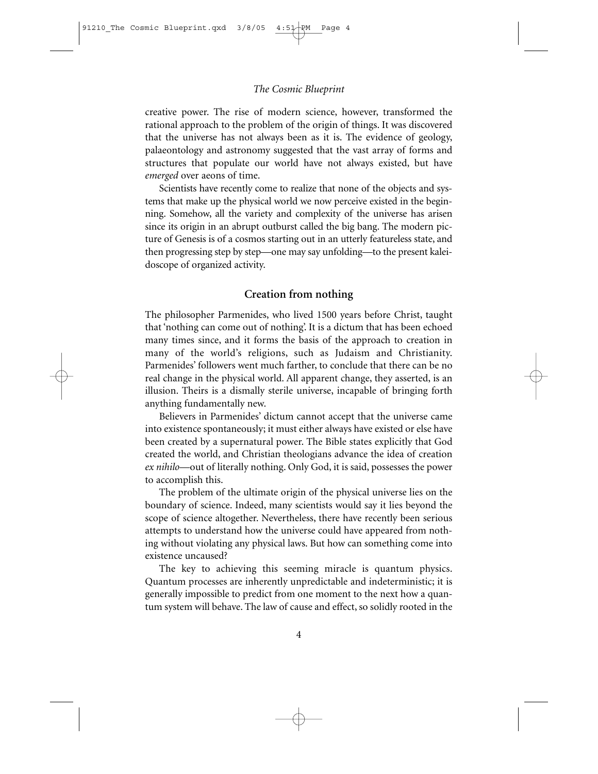creative power. The rise of modern science, however, transformed the rational approach to the problem of the origin of things. It was discovered that the universe has not always been as it is. The evidence of geology, palaeontology and astronomy suggested that the vast array of forms and structures that populate our world have not always existed, but have *emerged* over aeons of time.

Scientists have recently come to realize that none of the objects and systems that make up the physical world we now perceive existed in the beginning. Somehow, all the variety and complexity of the universe has arisen since its origin in an abrupt outburst called the big bang. The modern picture of Genesis is of a cosmos starting out in an utterly featureless state, and then progressing step by step—one may say unfolding—to the present kaleidoscope of organized activity.

### **Creation from nothing**

The philosopher Parmenides, who lived 1500 years before Christ, taught that 'nothing can come out of nothing'. It is a dictum that has been echoed many times since, and it forms the basis of the approach to creation in many of the world's religions, such as Judaism and Christianity. Parmenides' followers went much farther, to conclude that there can be no real change in the physical world. All apparent change, they asserted, is an illusion. Theirs is a dismally sterile universe, incapable of bringing forth anything fundamentally new.

Believers in Parmenides' dictum cannot accept that the universe came into existence spontaneously; it must either always have existed or else have been created by a supernatural power. The Bible states explicitly that God created the world, and Christian theologians advance the idea of creation *ex nihilo*—out of literally nothing. Only God, it is said, possesses the power to accomplish this.

The problem of the ultimate origin of the physical universe lies on the boundary of science. Indeed, many scientists would say it lies beyond the scope of science altogether. Nevertheless, there have recently been serious attempts to understand how the universe could have appeared from nothing without violating any physical laws. But how can something come into existence uncaused?

The key to achieving this seeming miracle is quantum physics. Quantum processes are inherently unpredictable and indeterministic; it is generally impossible to predict from one moment to the next how a quantum system will behave. The law of cause and effect, so solidly rooted in the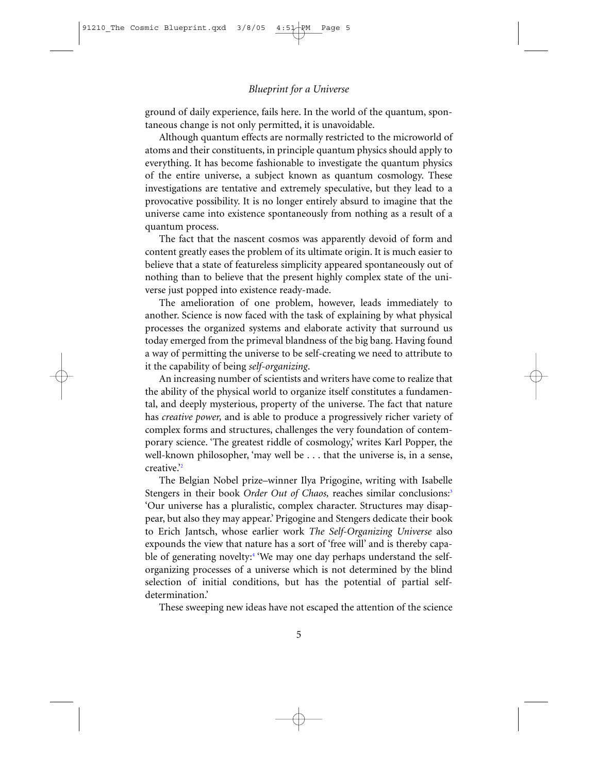### *Blueprint for a Universe*

ground of daily experience, fails here. In the world of the quantum, spontaneous change is not only permitted, it is unavoidable.

Although quantum effects are normally restricted to the microworld of atoms and their constituents, in principle quantum physics should apply to everything. It has become fashionable to investigate the quantum physics of the entire universe, a subject known as quantum cosmology. These investigations are tentative and extremely speculative, but they lead to a provocative possibility. It is no longer entirely absurd to imagine that the universe came into existence spontaneously from nothing as a result of a quantum process.

The fact that the nascent cosmos was apparently devoid of form and content greatly eases the problem of its ultimate origin. It is much easier to believe that a state of featureless simplicity appeared spontaneously out of nothing than to believe that the present highly complex state of the universe just popped into existence ready-made.

The amelioration of one problem, however, leads immediately to another. Science is now faced with the task of explaining by what physical processes the organized systems and elaborate activity that surround us today emerged from the primeval blandness of the big bang. Having found a way of permitting the universe to be self-creating we need to attribute to it the capability of being *self-organizing*.

An increasing number of scientists and writers have come to realize that the ability of the physical world to organize itself constitutes a fundamental, and deeply mysterious, property of the universe. The fact that nature has *creative power,* and is able to produce a progressively richer variety of complex forms and structures, challenges the very foundation of contemporary science. 'The greatest riddle of cosmology,' writes Karl Popper, the well-known philosopher, 'may well be . . . that the universe is, in a sense, creative.<sup>22</sup>

The Belgian Nobel prize–winner Ilya Prigogine, writing with Isabelle Stengers in their book *Order Out of Chaos*, reaches similar conclusions:<sup>3</sup> 'Our universe has a pluralistic, complex character. Structures may disappear, but also they may appear.' Prigogine and Stengers dedicate their book to Erich Jantsch, whose earlier work *The Self-Organizing Universe* also expounds the view that nature has a sort of 'free will' and is thereby capable of generating novelty:<sup>4</sup> 'We may one day perhaps understand the selforganizing processes of a universe which is not determined by the blind selection of initial conditions, but has the potential of partial selfdetermination.'

These sweeping new ideas have not escaped the attention of the science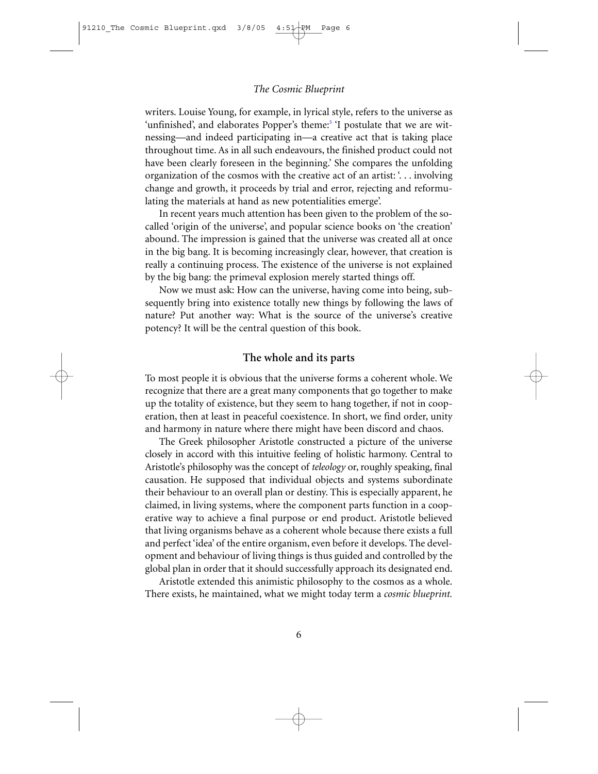writers. Louise Young, for example, in lyrical style, refers to the universe as 'unfinished', and elaborates Popper's theme:<sup>5</sup> 'I postulate that we are witnessing—and indeed participating in—a creative act that is taking place throughout time. As in all such endeavours, the finished product could not have been clearly foreseen in the beginning.' She compares the unfolding organization of the cosmos with the creative act of an artist: '. . . involving change and growth, it proceeds by trial and error, rejecting and reformulating the materials at hand as new potentialities emerge'.

In recent years much attention has been given to the problem of the socalled 'origin of the universe', and popular science books on 'the creation' abound. The impression is gained that the universe was created all at once in the big bang. It is becoming increasingly clear, however, that creation is really a continuing process. The existence of the universe is not explained by the big bang: the primeval explosion merely started things off.

Now we must ask: How can the universe, having come into being, subsequently bring into existence totally new things by following the laws of nature? Put another way: What is the source of the universe's creative potency? It will be the central question of this book.

### **The whole and its parts**

To most people it is obvious that the universe forms a coherent whole. We recognize that there are a great many components that go together to make up the totality of existence, but they seem to hang together, if not in cooperation, then at least in peaceful coexistence. In short, we find order, unity and harmony in nature where there might have been discord and chaos.

The Greek philosopher Aristotle constructed a picture of the universe closely in accord with this intuitive feeling of holistic harmony. Central to Aristotle's philosophy was the concept of *teleology* or, roughly speaking, final causation. He supposed that individual objects and systems subordinate their behaviour to an overall plan or destiny. This is especially apparent, he claimed, in living systems, where the component parts function in a cooperative way to achieve a final purpose or end product. Aristotle believed that living organisms behave as a coherent whole because there exists a full and perfect 'idea' of the entire organism, even before it develops. The development and behaviour of living things is thus guided and controlled by the global plan in order that it should successfully approach its designated end.

Aristotle extended this animistic philosophy to the cosmos as a whole. There exists, he maintained, what we might today term a *cosmic blueprint.*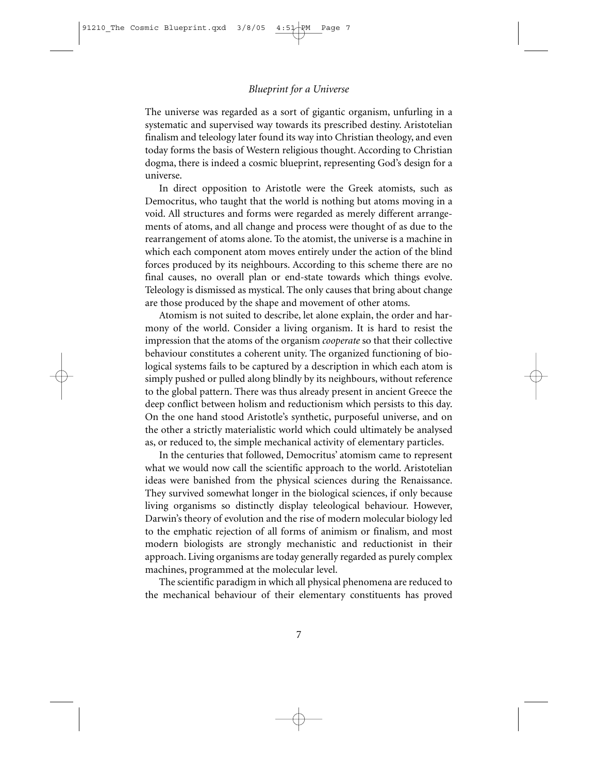### *Blueprint for a Universe*

The universe was regarded as a sort of gigantic organism, unfurling in a systematic and supervised way towards its prescribed destiny. Aristotelian finalism and teleology later found its way into Christian theology, and even today forms the basis of Western religious thought. According to Christian dogma, there is indeed a cosmic blueprint, representing God's design for a universe.

In direct opposition to Aristotle were the Greek atomists, such as Democritus, who taught that the world is nothing but atoms moving in a void. All structures and forms were regarded as merely different arrangements of atoms, and all change and process were thought of as due to the rearrangement of atoms alone. To the atomist, the universe is a machine in which each component atom moves entirely under the action of the blind forces produced by its neighbours. According to this scheme there are no final causes, no overall plan or end-state towards which things evolve. Teleology is dismissed as mystical. The only causes that bring about change are those produced by the shape and movement of other atoms.

Atomism is not suited to describe, let alone explain, the order and harmony of the world. Consider a living organism. It is hard to resist the impression that the atoms of the organism *cooperate* so that their collective behaviour constitutes a coherent unity. The organized functioning of biological systems fails to be captured by a description in which each atom is simply pushed or pulled along blindly by its neighbours, without reference to the global pattern. There was thus already present in ancient Greece the deep conflict between holism and reductionism which persists to this day. On the one hand stood Aristotle's synthetic, purposeful universe, and on the other a strictly materialistic world which could ultimately be analysed as, or reduced to, the simple mechanical activity of elementary particles.

In the centuries that followed, Democritus' atomism came to represent what we would now call the scientific approach to the world. Aristotelian ideas were banished from the physical sciences during the Renaissance. They survived somewhat longer in the biological sciences, if only because living organisms so distinctly display teleological behaviour. However, Darwin's theory of evolution and the rise of modern molecular biology led to the emphatic rejection of all forms of animism or finalism, and most modern biologists are strongly mechanistic and reductionist in their approach. Living organisms are today generally regarded as purely complex machines, programmed at the molecular level.

The scientific paradigm in which all physical phenomena are reduced to the mechanical behaviour of their elementary constituents has proved